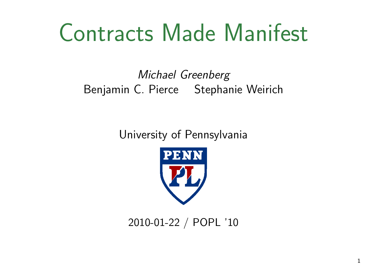# Contracts Made Manifest

Michael Greenberg Benjamin C. Pierce Stephanie Weirich

University of Pennsylvania



2010-01-22 / POPL '10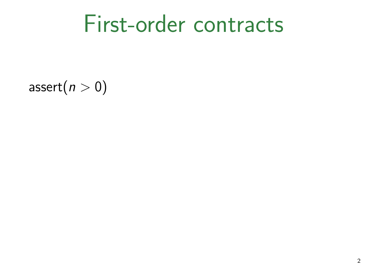#### First-order contracts

assert $(n > 0)$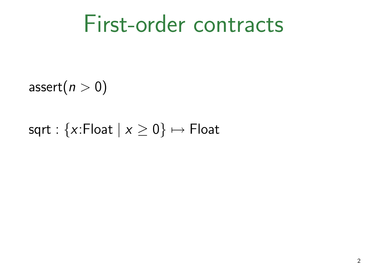#### First-order contracts

assert $(n > 0)$ 

#### sqrt :  $\{x:$  Float  $|x \ge 0\} \mapsto$  Float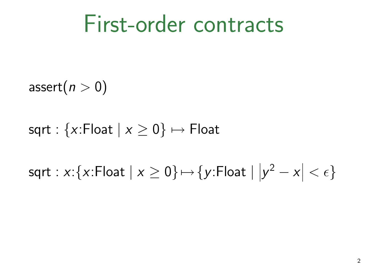#### First-order contracts

assert $(n > 0)$ 

sqrt :  $\{x:$  Float  $|x \geq 0\} \mapsto$  Float

 $\mathsf{sqrt} : x{:} \{x{:} \mathsf{float} \mid x \geq 0\} \mapsto \{y{:} \mathsf{float} \mid |y^2 - x| < \epsilon\}$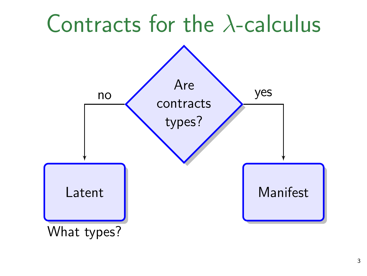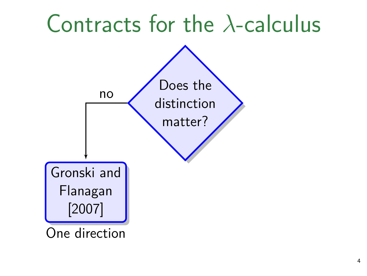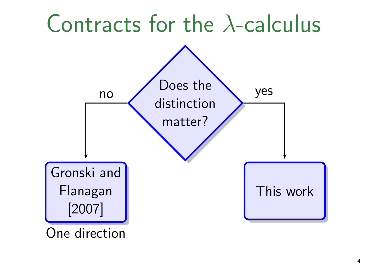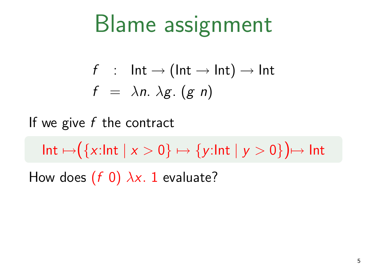# Blame assignment

$$
f : Int \to (Int \to Int) \to Int
$$
  

$$
f = \lambda n. \lambda g. (g \, n)
$$

If we give  $f$  the contract

 $Int \mapsto ({x:Int | x > 0} \mapsto {y:Int | y > 0}) \mapsto Int$ How does  $(f\ 0)$   $\lambda x$ . 1 evaluate?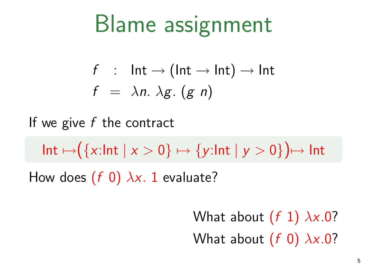# Blame assignment

$$
f : Int \to (Int \to Int) \to Int
$$
  

$$
f = \lambda n. \lambda g. (g \, n)
$$

If we give  $f$  the contract

 $Int \mapsto (\{x:\text{Int} \mid x > 0\} \mapsto \{y:\text{Int} \mid y > 0\}) \mapsto \text{Int}$ How does  $(f\ 0)$   $\lambda x$ . 1 evaluate?

> What about (f 1) *λ*x*.*0? What about (f 0) *λ*x*.*0?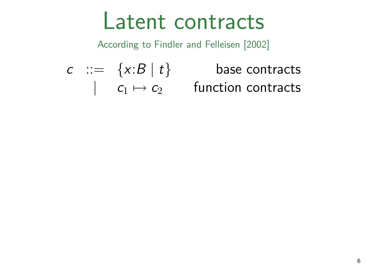#### Latent contracts

According to Findler and Felleisen [2002]

 $contracts$ *|* c<sup>1</sup> *7→* c<sup>2</sup> function contracts

$$
\begin{array}{ccc}\nc & ::= & \{x:B \mid t\} & \text{base} \\
& \mid & c_1 \mapsto c_2 & \text{function}\n\end{array}
$$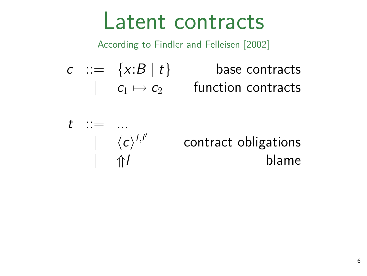#### Latent contracts

According to Findler and Felleisen [2002]

 $c$   $::=$   $\{x:B \mid t\}$  base contracts  $| \quad c_1 \mapsto c_2 \quad \quad \text{function contracts}$ 

$$
t \quad ::= \quad ... \quad | \quad \langle c \rangle^{l,l'}
$$

contract obligations *| ⇑*l blame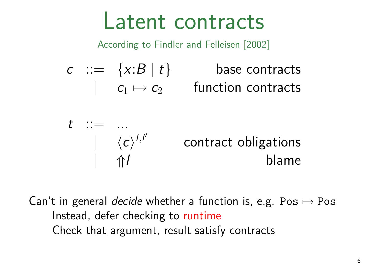#### Latent contracts

According to Findler and Felleisen [2002]

 $c$   $::=$   $\{x:B \mid t\}$  base contracts  $| \quad c_1 \mapsto c_2 \quad \quad \text{function contracts}$ 

$$
t ::= ... | \langle c \rangle^{l,l'} \n contract obligations | \Uparrow l
$$

Can't in general decide whether a function is, e.g. Pos *7→* Pos Instead, defer checking to runtime Check that argument, result satisfy contracts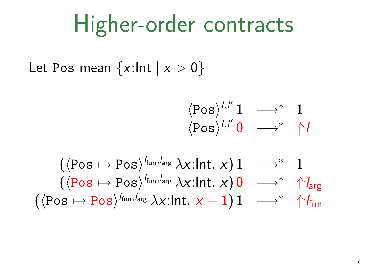### Higher-order contracts

Let Pos mean  $\{x:\ln t \mid x > 0\}$ 

$$
\frac{\langle \text{Pos} \rangle^{l,l'} \mathbf{1} \longrightarrow^* \mathbf{1}}{\langle \text{Pos} \rangle^{l,l'} \mathbf{0} \longrightarrow^* \mathsf{\hat{p}} l}
$$

$$
\begin{array}{ccc}(\langle \text{Pos} \mapsto \text{Pos} \rangle^{l_{\text{fun}},l_{\text{arg}}} \, \lambda x \text{:Int.} \ x) \, 1 & \longrightarrow^* & 1 \\ (\langle \text{Pos} \mapsto \text{Pos} \rangle^{l_{\text{fun}},l_{\text{arg}}} \, \lambda x \text{:Int.} \ x) \, 0 & \longrightarrow^* & \Uparrow_{\text{arg}} \\ (\langle \text{Pos} \mapsto \text{Pos} \rangle^{l_{\text{fun}},l_{\text{arg}}} \, \lambda x \text{:Int.} \ x - 1) \, 1 & \longrightarrow^* & \Uparrow_{\text{fun}} \end{array}
$$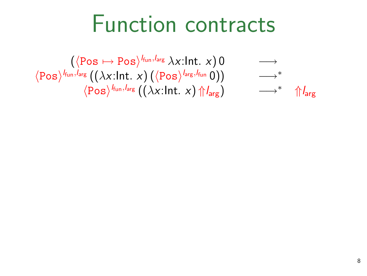#### Function contracts

 $\left(\langle \text{Pos} \mapsto \text{Pos} \rangle^{l_{\text{fun}}, l_{\text{arg}}} \lambda x \text{:Int. } x\right) 0 \longrightarrow$  $\langle \text{Pos} \rangle^{l_{\text{fun}},l_{\text{arg}}}\left(\left(\lambda x.\text{Int. } x\right)\left(\left\langle \text{Pos}\right.\right) \right)$  $\longrightarrow^*$  ↑  $\bigcap_{\text{arg}}$ *h*Pos*i* <sup>l</sup>fun*,*larg ((*λ*x:Int*.* x) *⇑*larg) *−→<sup>∗</sup> ⇑*larg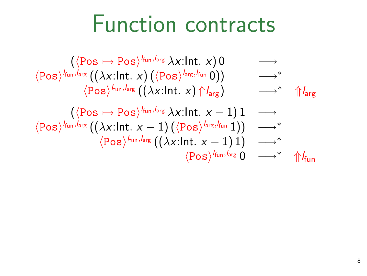### Function contracts

$$
\langle \n\begin{array}{ccc}\n(\langle \text{Pos} \mapsto \text{Pos}\rangle^{l_{\text{fun}},l_{\text{arg}}} \lambda x:\text{Int.} \ x)0 & \longrightarrow \\
\langle \text{Pos}\rangle^{l_{\text{fun}},l_{\text{arg}}} \big((\lambda x:\text{Int.} \ x)\big(\langle \text{Pos}\rangle^{l_{\text{arg}},l_{\text{fun}}}\ 0)\big) & \longrightarrow^* \\
\langle \text{Pos}\rangle^{l_{\text{fun}},l_{\text{arg}}} \big((\lambda x:\text{Int.} \ x)\ \Uparrow_{\text{arg}}\big) & \longrightarrow^* \\
(\langle \text{Pos} \mapsto \text{Pos}\rangle^{l_{\text{fun}},l_{\text{arg}}} \ \lambda x:\text{Int.} \ x-1)1 & \longrightarrow \\
\langle \text{Pos}\rangle^{l_{\text{fun}},l_{\text{arg}}} \big((\lambda x:\text{Int.} \ x-1)\big(\langle \text{Pos}\rangle^{l_{\text{arg}},l_{\text{fun}}}\ 1)\big) & \longrightarrow^* \\
\langle \text{Pos}\rangle^{l_{\text{fun}},l_{\text{arg}}} \big((\lambda x:\text{Int.} \ x-1)1\big) & \longrightarrow^* \\
\langle \text{Pos}\rangle^{l_{\text{fun}},l_{\text{arg}}} 0 & \longrightarrow^* \ \Uparrow_{\text{fun}}\n\end{array}
$$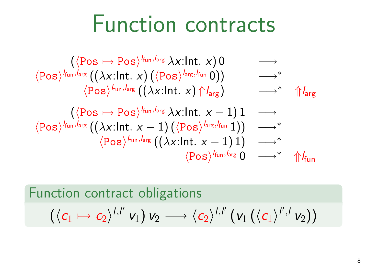#### Function contracts

$$
\langle \hspace{-0.2cm} \begin{array}{ccc} &(\langle \hspace{-0.2cm} \text{Pos}\rangle^{k_{\text{un}},l_{\text{arg}}}\, \lambda x{:}\text{Int.}\ x)\ 0 &\longrightarrow \\ &\langle \hspace{-0.2cm} \text{Pos}\rangle^{k_{\text{un}},l_{\text{arg}}} \left(\left(\lambda x{:}\text{Int.}\ x\right)\left(\langle \hspace{-0.2cm} \text{Pos}\rangle^{l_{\text{arg}},l_{\text{fun}}}\ 0\right)\right) &\longrightarrow^* \\ &\quad \langle \hspace{-0.2cm} \text{Pos}\rangle^{k_{\text{un}},l_{\text{arg}}}\left(\left(\lambda x{:}\text{Int.}\ x\right)\Uparrow l_{\text{arg}}\right) &\longrightarrow^* \quad \Uparrow l_{\text{arg}} \\ &\quad \left(\langle \hspace{-0.2cm} \text{Pos}\ \mapsto\ \hspace{-0.2cm} \text{Pos}\rangle^{k_{\text{un}},l_{\text{arg}}}\ \lambda x{:}\text{Int.}\ x-1\right)1 &\longrightarrow \\ &\quad \langle \hspace{-0.2cm} \text{Pos}\rangle^{k_{\text{un}},l_{\text{arg}}}\left(\left(\lambda x{:}\text{Int.}\ x-1\right)\left(\langle \hspace{-0.2cm} \text{Pos}\rangle^{l_{\text{arg}},l_{\text{fun}}}\ 1\right)\right) &\longrightarrow^* \\ &\quad \langle \hspace{-0.2cm} \text{Pos}\rangle^{k_{\text{un}},l_{\text{arg}}}\left(\left(\lambda x{:}\text{Int.}\ x-1\right)1\right) &\longrightarrow^* \\ &\quad \langle \hspace{-0.2cm} \text{Pos}\ \rangle^{k_{\text{un}},l_{\text{arg}}}\ 0 &\longrightarrow^* \quad \Uparrow l_{\text{fun}} \end{array}
$$

Function contract obligations  $\left(\langle \mathsf{c}_1 \mapsto \mathsf{c}_2 \rangle^{l,l'}\, \mathsf{v}_1\right) \mathsf{v}_2 \longrightarrow \langle \mathsf{c}_2 \rangle^{l,l'}\, \big(\mathsf{v}_1\left(\langle \mathsf{c}_1 \rangle^{l',l}\, \mathsf{v}_2\right)\big)$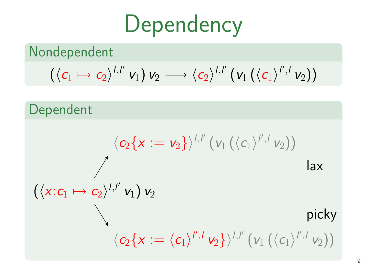## **Dependency**

Nondependent

$$
\left(\langle c_1 \mapsto c_2 \rangle^{l,l'} \, \mathsf{v}_1\right) \mathsf{v}_2 \longrightarrow \langle c_2 \rangle^{l,l'} \left(\mathsf{v}_1\left(\langle c_1 \rangle^{l',l} \, \mathsf{v}_2\right)\right)
$$

## Dependent  $\left(\langle x{:}c_1 \mapsto c_2 \rangle^{l,l'}\ \mathsf{v}_1\right) \mathsf{v}_2$  $\langle c_2\{x:=\mathsf{v}_2\}\rangle^{l,l'}\left(\mathsf{v}_1\left(\langle c_1 \rangle^{l',l} \, \mathsf{v}_2\right)\right)$ lax picky  $\langle c_2 \{x := \langle c_1 \rangle^{l',l} v_2 \} \rangle^{l,l'} \left( v_1 \left( \langle c_1 \rangle^{l',l} v_2 \right) \right)$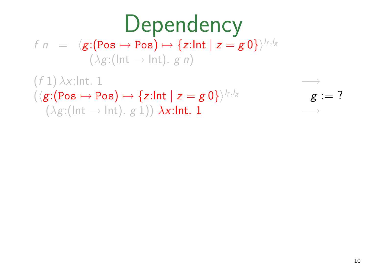#### **Dependency**  $f n = \langle g : (\text{Pos} \mapsto \text{Pos}) \mapsto \{z : \text{Int} \mid z = g \: 0\} \rangle^{\mathit{l_f, l_g}}$  $(\lambda g: (\text{Int} \rightarrow \text{Int}), g \neq n)$  $(f 1)$   $\lambda$ x:Int. 1

#### $(\langle \textit{g} \colon \! (\texttt{Pos} \mapsto \texttt{Pos}) \mapsto \{\textit{z} \colon \! \texttt{Int} \mid \textit{z} = \textit{g} \: 0\} \rangle^{\mathit{h}}$ *,*l<sup>g</sup> g := ?  $(\lambda g: (\text{Int} \rightarrow \text{Int}), g 1)) \lambda x: \text{Int}.$  1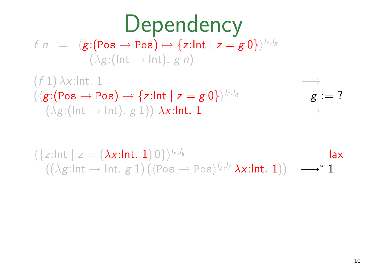# **Dependency**

 $f n = \langle g : (\text{Pos} \mapsto \text{Pos}) \mapsto \{z : \text{Int} \mid z = g \: 0\} \rangle^{\mathit{l_f, l_g}}$  $(\lambda g: (\text{Int} \rightarrow \text{Int}), g \neq n)$ 

 $(f 1)$   $\lambda$ x:Int. 1  $(\langle \textit{g} \colon \! (\texttt{Pos} \mapsto \texttt{Pos}) \mapsto \{\textit{z} \colon \! \texttt{Int} \mid \textit{z} = \textit{g} \: 0\} \rangle^{\mathit{h}}$  $g := ?$  $(\lambda g: (\text{Int} \rightarrow \text{Int}), g 1)) \lambda x: \text{Int}.$  1

 $\langle \{z:\mathsf{Int} \mid z = (\lambda x:\mathsf{Int. 1})\,0\} \rangle^{l_f, l_g}$ lax  $((\lambda g ! \mathsf{Int} \rightarrow \mathsf{Int} .~ g~1) \left( \langle \mathsf{Pos} \mapsto \mathsf{Pos} \rangle^{l_g, l_f} \lambda \mathsf{x}{:} \mathsf{Int} .~1) \right) \quad \longrightarrow^* 1$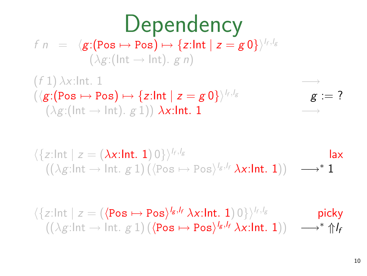# **Dependency**

 $f n = \langle g : (\text{Pos} \mapsto \text{Pos}) \mapsto \{z : \text{Int} \mid z = g \: 0\} \rangle^{\mathit{l_f, l_g}}$  $(\lambda g: (\text{Int} \rightarrow \text{Int}), g \neq n)$ 

 $(f 1)$   $\lambda$ x:Int. 1  $(\langle \textit{g} \colon \! (\texttt{Pos} \mapsto \texttt{Pos}) \mapsto \{\textit{z} \colon \! \texttt{Int} \mid \textit{z} = \textit{g} \: 0\} \rangle^{\mathit{h}}$ *,*l<sup>g</sup> g := ?  $(\lambda g: (\text{Int} \rightarrow \text{Int}), g 1)) \lambda x: \text{Int}.$  1

$$
\langle \{z:\text{Int} \mid z = (\lambda x:\text{Int. 1}) 0\} \rangle^{l_f, l_g} \qquad \text{law} \qquad (\lambda g:\text{Int.} \rightarrow \text{Int. } g \text{ 1}) (\langle \text{Pos} \mapsto \text{Pos} \rangle^{l_g, l_f} \lambda x:\text{Int. 1}) \rangle \longrightarrow^* \mathbf{1}
$$

$$
\langle \{z:\ln t \mid z = (\langle \text{Pos} \mapsto \text{Pos} \rangle^{l_g, l_f} \lambda x:\ln t. 1) 0 \} \rangle^{l_f, l_g} \qquad \text{picky} \\ ((\lambda g:\ln t \to \ln t. g 1) (\langle \text{Pos} \mapsto \text{Pos} \rangle^{l_g, l_f} \lambda x:\ln t. 1)) \qquad \longrightarrow^* \Uparrow l_f
$$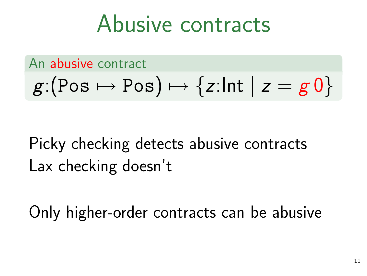### Abusive contracts

#### An abusive contract

$$
g:(\text{Pos}\mapsto \text{Pos})\mapsto \{z:\text{Int}\mid z=g\,0\}
$$

#### Picky checking detects abusive contracts Lax checking doesn't

Only higher-order contracts can be abusive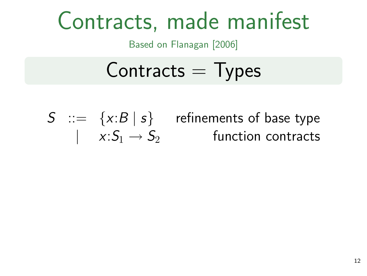## Contracts, made manifest

Based on Flanagan [2006]

#### $Contracts = Types$

 $S$   $\;\;:=\;\;\{x{:}B\mid s\}$  refinements of base type  $| \quad x{:}S_1 \rightarrow S_2 \qquad \qquad \text{function contracts}$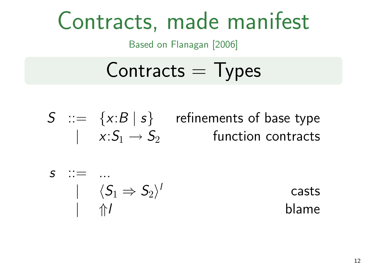## Contracts, made manifest

Based on Flanagan [2006]

#### $Contracts = Types$

 $S$   $\;\;:=\;\;\{x{:}B\mid s\}$  refinements of base type  $| \quad x{:}S_1 \rightarrow S_2 \qquad \qquad \text{function contracts}$ 

$$
\begin{array}{ccc}\ns & \cdots & \cdots \\
 & | & \langle S_1 \Rightarrow S_2 \rangle' \\
 & | & \Uparrow I\n\end{array}
$$

casts *| ⇑*l blame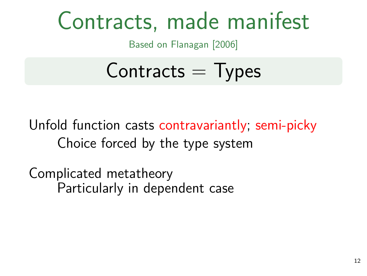## Contracts, made manifest

Based on Flanagan [2006]

### $Contracts = Types$

Unfold function casts contravariantly; semi-picky Choice forced by the type system

Complicated metatheory Particularly in dependent case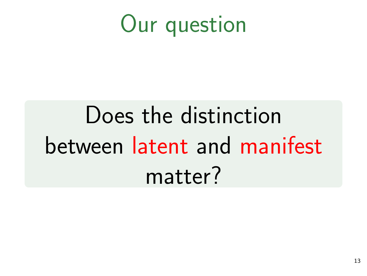## Our question

# Does the distinction between latent and manifest matter?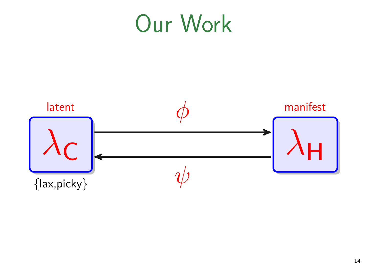## Our Work

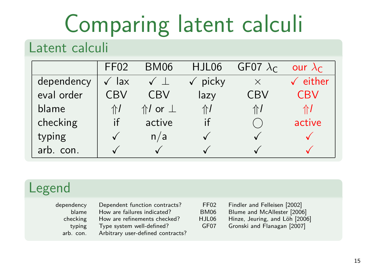# Comparing latent calculi

#### Latent calculi

|            | FF <sub>02</sub> | BM06                   | HJL06 | GF07 $\lambda_c$ | our $\lambda_{\text{C}}$ |
|------------|------------------|------------------------|-------|------------------|--------------------------|
| dependency | lax              |                        | picky | $\times$         | $\checkmark$ either      |
| eval order | CBV              | CBV                    | lazy  | CBV              | CBV                      |
| blame      | ⇑┃               | $\Uparrow$ / or $\bot$ | 介     | ⇑┃               | 11 I                     |
| checking   | if               | active                 |       |                  | active                   |
| typing     |                  | n/a                    |       |                  |                          |
| arb. con.  |                  |                        |       |                  |                          |

#### Legend

| dependency |
|------------|
| blame      |
| checking   |
| typing     |
| arb. con.  |

blame failures indicated? BI<br>How are refinements checked? HJ Frame refinements checked? HJ<br>Type system well-defined? G Type system well-defined? Arbitrary user-defined contracts?

| Dependent function contracts? | FF02             | Findler and Felleisen [2002]   |
|-------------------------------|------------------|--------------------------------|
| How are failures indicated?   | BM06             | Blume and McAllester [2006]    |
| How are refinements checked?  | HJL06            | Hinze, Jeuring, and Löh [2006] |
| Type system well-defined?     | GF <sub>07</sub> | Gronski and Flanagan [2007]    |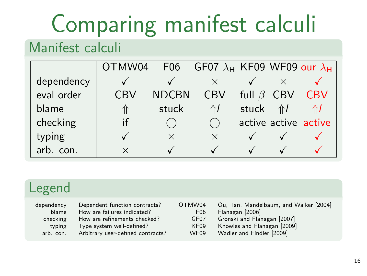# Comparing manifest calculi

#### Manifest calculi

|            | OTMW04 |              | F06 GF07 $\lambda$ <sub>H</sub> KF09 WF09 our $\lambda$ <sub>H</sub> |              |            |                      |
|------------|--------|--------------|----------------------------------------------------------------------|--------------|------------|----------------------|
| dependency |        |              |                                                                      |              |            |                      |
| eval order | `RV    | <b>NDCBN</b> | CBV                                                                  | full $\beta$ | <b>CBV</b> | CBV                  |
| blame      |        | stuck        | $\Uparrow$                                                           | stuck        | 介          |                      |
| checking   |        |              |                                                                      |              |            | active active active |
| typing     |        | $\times$     | $\times$                                                             |              |            |                      |
| arb. con.  |        |              |                                                                      |              |            |                      |

#### Legend

| dependency | Dependent function contracts?     | OTMW04          | Ou, Tan, Mandelbaum, and Walker [2004] |
|------------|-----------------------------------|-----------------|----------------------------------------|
| blame      | How are failures indicated?       | F <sub>06</sub> | Flanagan [2006]                        |
| checking   | How are refinements checked?      | GF07            | Gronski and Flanagan [2007]            |
| typing     | Type system well-defined?         | KF09            | Knowles and Flanagan [2009]            |
| arb. con.  | Arbitrary user-defined contracts? | <b>WF09</b>     | Wadler and Findler [2009]              |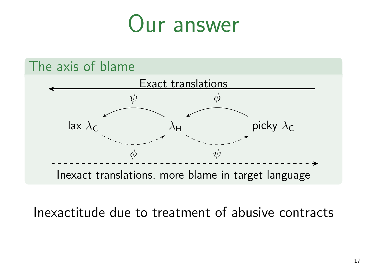### Our answer



Inexactitude due to treatment of abusive contracts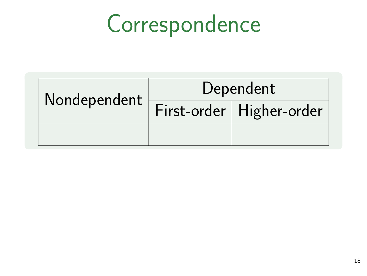| Nondependent | Dependent |                            |  |
|--------------|-----------|----------------------------|--|
|              |           | First-order   Higher-order |  |
|              |           |                            |  |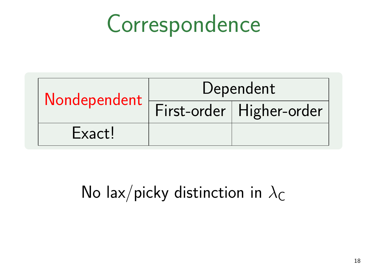| Nondependent | Dependent |                            |  |
|--------------|-----------|----------------------------|--|
|              |           | First-order   Higher-order |  |
| Exact!       |           |                            |  |

#### No lax/picky distinction in  $\lambda_C$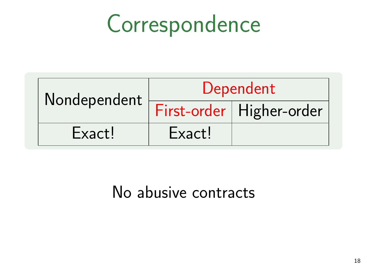| Nondependent | Dependent |                            |  |
|--------------|-----------|----------------------------|--|
|              |           | First-order   Higher-order |  |
| Exact!       | Exact!    |                            |  |

No abusive contracts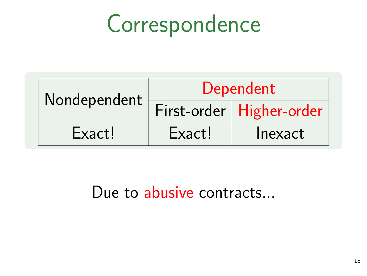| Nondependent | Dependent |                            |  |
|--------------|-----------|----------------------------|--|
|              |           | First-order   Higher-order |  |
| Exact!       | Exact!    | Inexact                    |  |

Due to abusive contracts...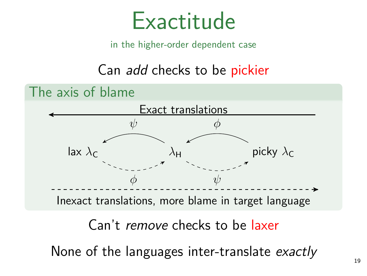

in the higher-order dependent case

Can add checks to be pickier

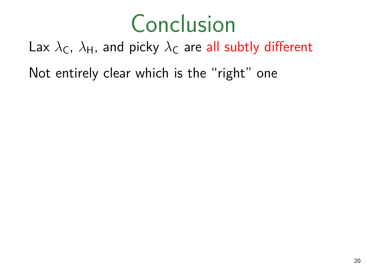## Conclusion

Lax  $\lambda_c$ ,  $\lambda_H$ , and picky  $\lambda_c$  are all subtly different Not entirely clear which is the "right" one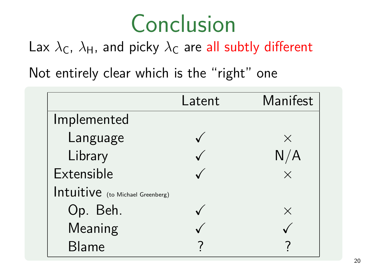## Conclusion

Lax  $\lambda_c$ ,  $\lambda_H$ , and picky  $\lambda_c$  are all subtly different

Not entirely clear which is the "right" one

|                                  | Latent | Manifest |
|----------------------------------|--------|----------|
| Implemented                      |        |          |
| Language                         |        | $\times$ |
| Library                          |        |          |
| Extensible                       |        | $\times$ |
| Intuitive (to Michael Greenberg) |        |          |
| Op. Beh.                         |        | X        |
| Meaning                          |        |          |
| <b>Blame</b>                     |        |          |